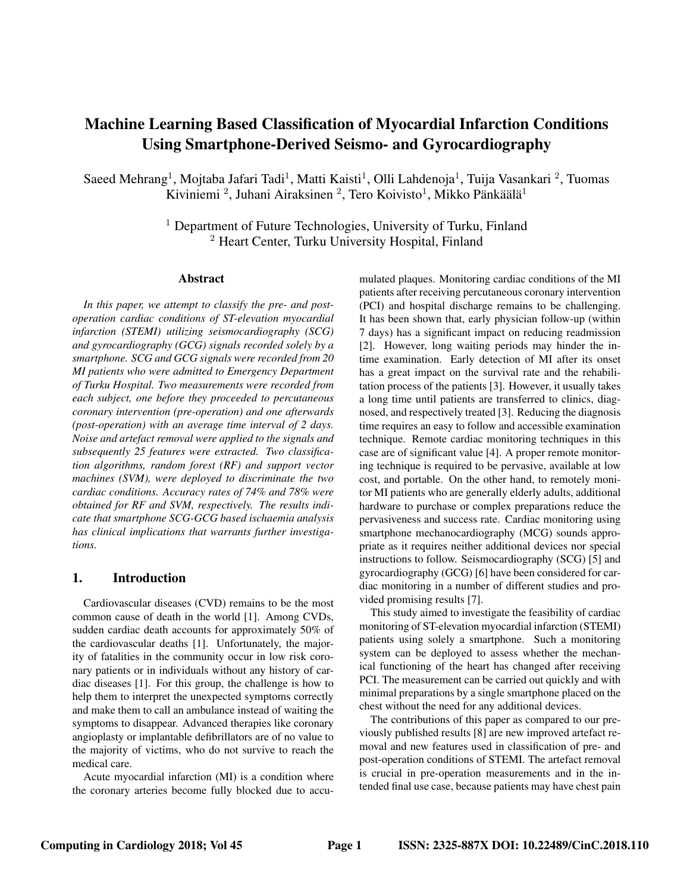# Machine Learning Based Classification of Myocardial Infarction Conditions Using Smartphone-Derived Seismo- and Gyrocardiography

Saeed Mehrang<sup>1</sup>, Mojtaba Jafari Tadi<sup>1</sup>, Matti Kaisti<sup>1</sup>, Olli Lahdenoja<sup>1</sup>, Tuija Vasankari<sup>2</sup>, Tuomas Kiviniemi<sup>2</sup>, Juhani Airaksinen<sup>2</sup>, Tero Koivisto<sup>1</sup>, Mikko Pänkäälä<sup>1</sup>

> <sup>1</sup> Department of Future Technologies, University of Turku, Finland <sup>2</sup> Heart Center, Turku University Hospital, Finland

#### Abstract

*In this paper, we attempt to classify the pre- and postoperation cardiac conditions of ST-elevation myocardial infarction (STEMI) utilizing seismocardiography (SCG) and gyrocardiography (GCG) signals recorded solely by a smartphone. SCG and GCG signals were recorded from 20 MI patients who were admitted to Emergency Department of Turku Hospital. Two measurements were recorded from each subject, one before they proceeded to percutaneous coronary intervention (pre-operation) and one afterwards (post-operation) with an average time interval of 2 days. Noise and artefact removal were applied to the signals and subsequently 25 features were extracted. Two classification algorithms, random forest (RF) and support vector machines (SVM), were deployed to discriminate the two cardiac conditions. Accuracy rates of 74% and 78% were obtained for RF and SVM, respectively. The results indicate that smartphone SCG-GCG based ischaemia analysis has clinical implications that warrants further investigations.*

### 1. Introduction

Cardiovascular diseases (CVD) remains to be the most common cause of death in the world [1]. Among CVDs, sudden cardiac death accounts for approximately 50% of the cardiovascular deaths [1]. Unfortunately, the majority of fatalities in the community occur in low risk coronary patients or in individuals without any history of cardiac diseases [1]. For this group, the challenge is how to help them to interpret the unexpected symptoms correctly and make them to call an ambulance instead of waiting the symptoms to disappear. Advanced therapies like coronary angioplasty or implantable defibrillators are of no value to the majority of victims, who do not survive to reach the medical care.

Acute myocardial infarction (MI) is a condition where the coronary arteries become fully blocked due to accumulated plaques. Monitoring cardiac conditions of the MI patients after receiving percutaneous coronary intervention (PCI) and hospital discharge remains to be challenging. It has been shown that, early physician follow-up (within 7 days) has a significant impact on reducing readmission [2]. However, long waiting periods may hinder the intime examination. Early detection of MI after its onset has a great impact on the survival rate and the rehabilitation process of the patients [3]. However, it usually takes a long time until patients are transferred to clinics, diagnosed, and respectively treated [3]. Reducing the diagnosis time requires an easy to follow and accessible examination technique. Remote cardiac monitoring techniques in this case are of significant value [4]. A proper remote monitoring technique is required to be pervasive, available at low cost, and portable. On the other hand, to remotely monitor MI patients who are generally elderly adults, additional hardware to purchase or complex preparations reduce the pervasiveness and success rate. Cardiac monitoring using smartphone mechanocardiography (MCG) sounds appropriate as it requires neither additional devices nor special instructions to follow. Seismocardiography (SCG) [5] and gyrocardiography (GCG) [6] have been considered for cardiac monitoring in a number of different studies and provided promising results [7].

This study aimed to investigate the feasibility of cardiac monitoring of ST-elevation myocardial infarction (STEMI) patients using solely a smartphone. Such a monitoring system can be deployed to assess whether the mechanical functioning of the heart has changed after receiving PCI. The measurement can be carried out quickly and with minimal preparations by a single smartphone placed on the chest without the need for any additional devices.

The contributions of this paper as compared to our previously published results [8] are new improved artefact removal and new features used in classification of pre- and post-operation conditions of STEMI. The artefact removal is crucial in pre-operation measurements and in the intended final use case, because patients may have chest pain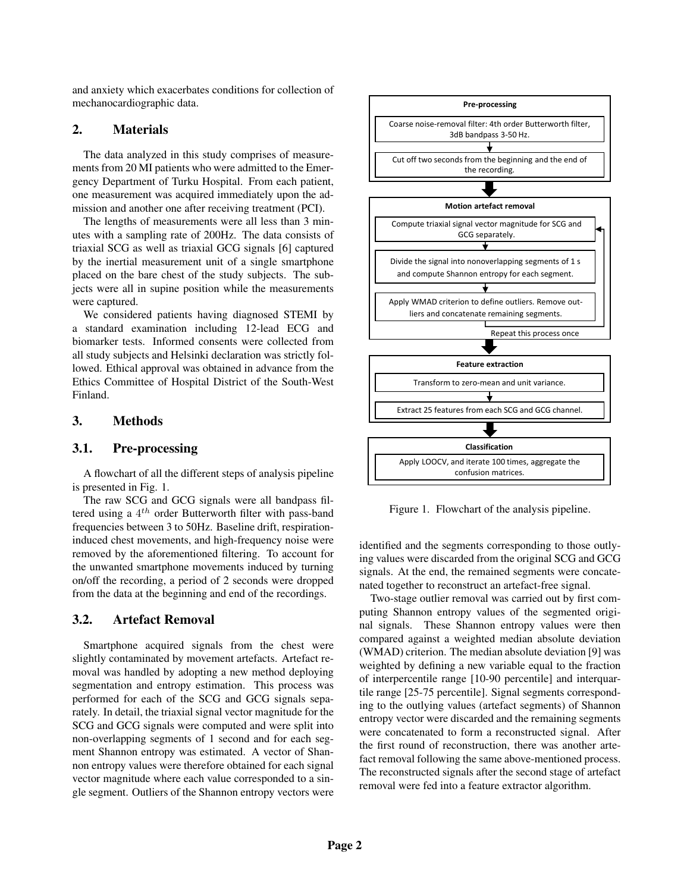and anxiety which exacerbates conditions for collection of mechanocardiographic data.

# 2. Materials

The data analyzed in this study comprises of measurements from 20 MI patients who were admitted to the Emergency Department of Turku Hospital. From each patient, one measurement was acquired immediately upon the admission and another one after receiving treatment (PCI).

The lengths of measurements were all less than 3 minutes with a sampling rate of 200Hz. The data consists of triaxial SCG as well as triaxial GCG signals [6] captured by the inertial measurement unit of a single smartphone placed on the bare chest of the study subjects. The subjects were all in supine position while the measurements were captured.

We considered patients having diagnosed STEMI by a standard examination including 12-lead ECG and biomarker tests. Informed consents were collected from all study subjects and Helsinki declaration was strictly followed. Ethical approval was obtained in advance from the Ethics Committee of Hospital District of the South-West Finland.

# 3. Methods

### 3.1. Pre-processing

A flowchart of all the different steps of analysis pipeline is presented in Fig. 1.

The raw SCG and GCG signals were all bandpass filtered using a  $4^{th}$  order Butterworth filter with pass-band frequencies between 3 to 50Hz. Baseline drift, respirationinduced chest movements, and high-frequency noise were removed by the aforementioned filtering. To account for the unwanted smartphone movements induced by turning on/off the recording, a period of 2 seconds were dropped from the data at the beginning and end of the recordings.

# 3.2. Artefact Removal

Smartphone acquired signals from the chest were slightly contaminated by movement artefacts. Artefact removal was handled by adopting a new method deploying segmentation and entropy estimation. This process was performed for each of the SCG and GCG signals separately. In detail, the triaxial signal vector magnitude for the SCG and GCG signals were computed and were split into non-overlapping segments of 1 second and for each segment Shannon entropy was estimated. A vector of Shannon entropy values were therefore obtained for each signal vector magnitude where each value corresponded to a single segment. Outliers of the Shannon entropy vectors were



Figure 1. Flowchart of the analysis pipeline.

identified and the segments corresponding to those outlying values were discarded from the original SCG and GCG signals. At the end, the remained segments were concatenated together to reconstruct an artefact-free signal.

Two-stage outlier removal was carried out by first computing Shannon entropy values of the segmented original signals. These Shannon entropy values were then compared against a weighted median absolute deviation (WMAD) criterion. The median absolute deviation [9] was weighted by defining a new variable equal to the fraction of interpercentile range [10-90 percentile] and interquartile range [25-75 percentile]. Signal segments corresponding to the outlying values (artefact segments) of Shannon entropy vector were discarded and the remaining segments were concatenated to form a reconstructed signal. After the first round of reconstruction, there was another artefact removal following the same above-mentioned process. The reconstructed signals after the second stage of artefact removal were fed into a feature extractor algorithm.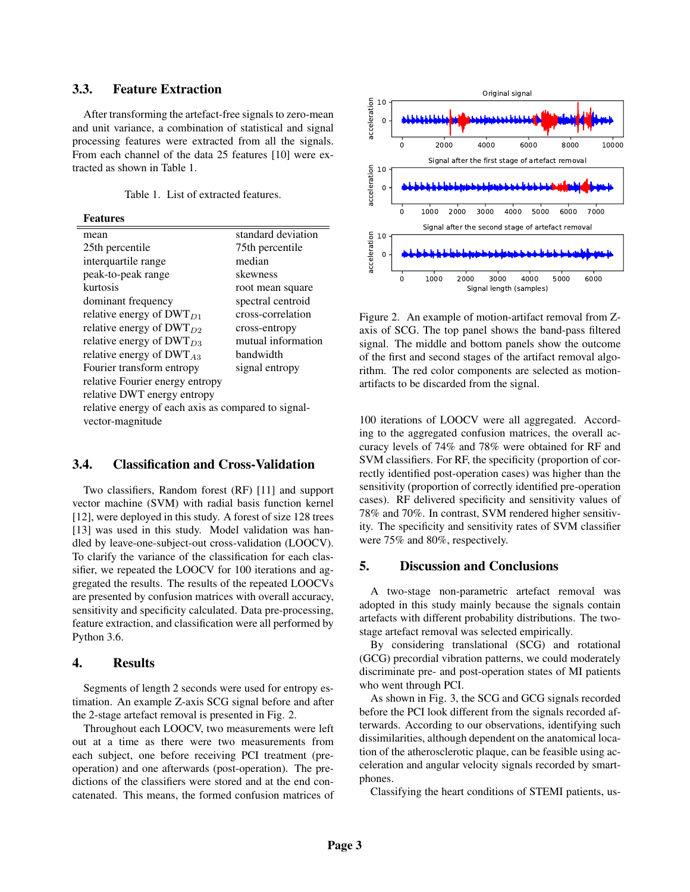# 3.3. Feature Extraction

After transforming the artefact-free signals to zero-mean and unit variance, a combination of statistical and signal processing features were extracted from all the signals. From each channel of the data 25 features [10] were extracted as shown in Table 1.

#### Features

| mean                                                | standard deviation |
|-----------------------------------------------------|--------------------|
| 25th percentile                                     | 75th percentile    |
| interquartile range                                 | median             |
| peak-to-peak range                                  | skewness           |
| kurtosis                                            | root mean square   |
| dominant frequency                                  | spectral centroid  |
| relative energy of $DWT_{D1}$                       | cross-correlation  |
| relative energy of $DWT_{D2}$                       | cross-entropy      |
| relative energy of $DWT_{D3}$                       | mutual information |
| relative energy of $DWT_{A3}$                       | handwidth          |
| Fourier transform entropy                           | signal entropy     |
| relative Fourier energy entropy                     |                    |
| relative DWT energy entropy                         |                    |
| relative energy of each axis as compared to signal- |                    |
| vector-magnitude                                    |                    |

### 3.4. Classification and Cross-Validation

Two classifiers, Random forest (RF) [11] and support vector machine (SVM) with radial basis function kernel [12], were deployed in this study. A forest of size 128 trees [13] was used in this study. Model validation was handled by leave-one-subject-out cross-validation (LOOCV). To clarify the variance of the classification for each classifier, we repeated the LOOCV for 100 iterations and aggregated the results. The results of the repeated LOOCVs are presented by confusion matrices with overall accuracy, sensitivity and specificity calculated. Data pre-processing, feature extraction, and classification were all performed by Python 3.6.

#### 4. Results

Segments of length 2 seconds were used for entropy estimation. An example Z-axis SCG signal before and after the 2-stage artefact removal is presented in Fig. 2.

Throughout each LOOCV, two measurements were left out at a time as there were two measurements from each subject, one before receiving PCI treatment (preoperation) and one afterwards (post-operation). The predictions of the classifiers were stored and at the end concatenated. This means, the formed confusion matrices of



Figure 2. An example of motion-artifact removal from Zaxis of SCG. The top panel shows the band-pass filtered signal. The middle and bottom panels show the outcome of the first and second stages of the artifact removal algorithm. The red color components are selected as motionartifacts to be discarded from the signal.

100 iterations of LOOCV were all aggregated. According to the aggregated confusion matrices, the overall accuracy levels of 74% and 78% were obtained for RF and SVM classifiers. For RF, the specificity (proportion of correctly identified post-operation cases) was higher than the sensitivity (proportion of correctly identified pre-operation cases). RF delivered specificity and sensitivity values of 78% and 70%. In contrast, SVM rendered higher sensitivity. The specificity and sensitivity rates of SVM classifier were 75% and 80%, respectively.

#### 5. Discussion and Conclusions

A two-stage non-parametric artefact removal was adopted in this study mainly because the signals contain artefacts with different probability distributions. The twostage artefact removal was selected empirically.

By considering translational (SCG) and rotational (GCG) precordial vibration patterns, we could moderately discriminate pre- and post-operation states of MI patients who went through PCI.

As shown in Fig. 3, the SCG and GCG signals recorded before the PCI look different from the signals recorded afterwards. According to our observations, identifying such dissimilarities, although dependent on the anatomical location of the atherosclerotic plaque, can be feasible using acceleration and angular velocity signals recorded by smartphones.

Classifying the heart conditions of STEMI patients, us-